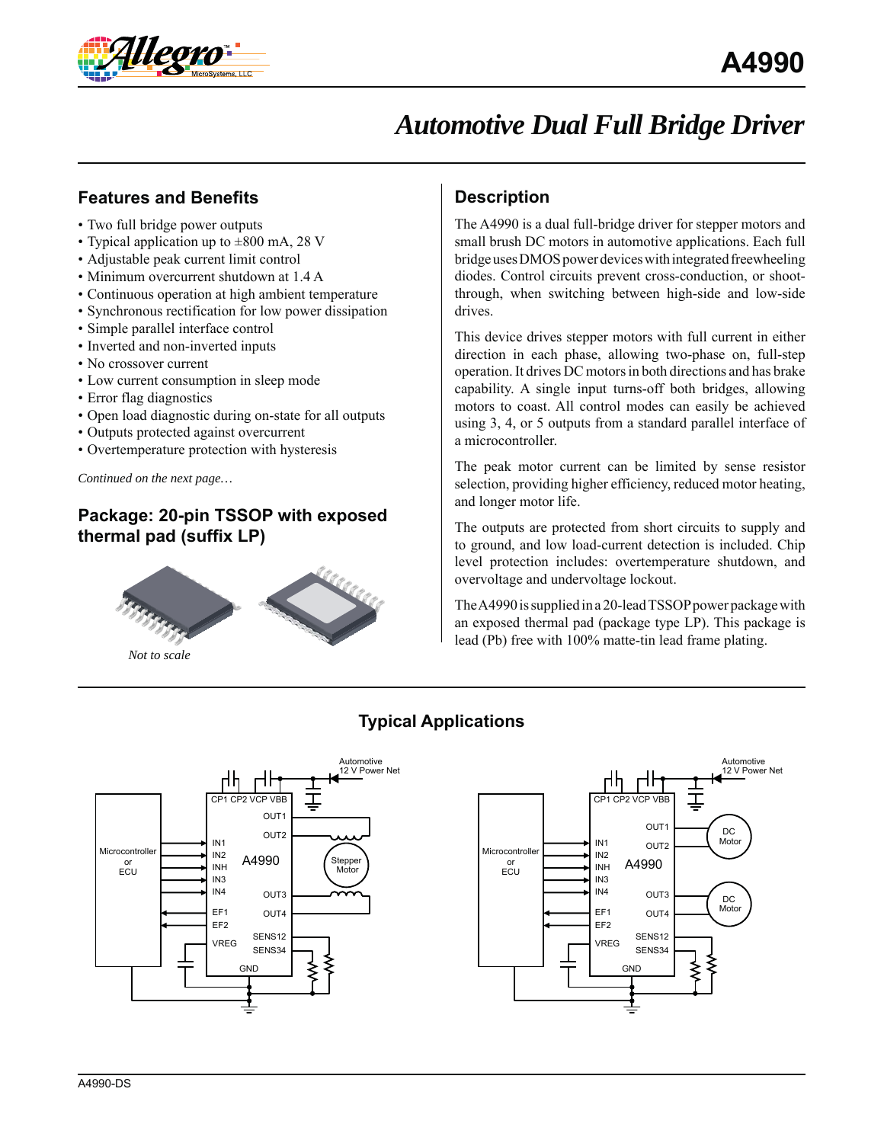

## **Features and Benefits**

- Two full bridge power outputs
- Typical application up to  $\pm 800$  mA, 28 V
- Adjustable peak current limit control
- Minimum overcurrent shutdown at 1.4 A
- Continuous operation at high ambient temperature
- Synchronous rectification for low power dissipation
- Simple parallel interface control
- Inverted and non-inverted inputs
- No crossover current
- Low current consumption in sleep mode
- Error flag diagnostics
- Open load diagnostic during on-state for all outputs
- Outputs protected against overcurrent
- Overtemperature protection with hysteresis

*Continued on the next page…*

# **Package: 20-pin TSSOP with exposed thermal pad (suffix LP)**



*Not to scale*

### **Description**

The A4990 is a dual full-bridge driver for stepper motors and small brush DC motors in automotive applications. Each full bridge uses DMOS power devices with integrated freewheeling diodes. Control circuits prevent cross-conduction, or shootthrough, when switching between high-side and low-side drives.

This device drives stepper motors with full current in either direction in each phase, allowing two-phase on, full-step operation. It drives DC motors in both directions and has brake capability. A single input turns-off both bridges, allowing motors to coast. All control modes can easily be achieved using 3, 4, or 5 outputs from a standard parallel interface of a microcontroller.

The peak motor current can be limited by sense resistor selection, providing higher efficiency, reduced motor heating, and longer motor life.

The outputs are protected from short circuits to supply and to ground, and low load-current detection is included. Chip level protection includes: overtemperature shutdown, and overvoltage and undervoltage lockout.

The A4990 is supplied in a 20-lead TSSOP power package with an exposed thermal pad (package type LP). This package is lead (Pb) free with 100% matte-tin lead frame plating.

GND

CP1 CP2 VCP VBB

Пh

пh

IN1

IN2 INH IN3 IN4 EF1 EF2

A4990

OUT<sub>1</sub> OUT2

OUT3  $Q$ UT4

SENS12 VREG SENS34

Automotive 12 V Power Net

DC Motor

T

DC Motor

### **Typical Applications**

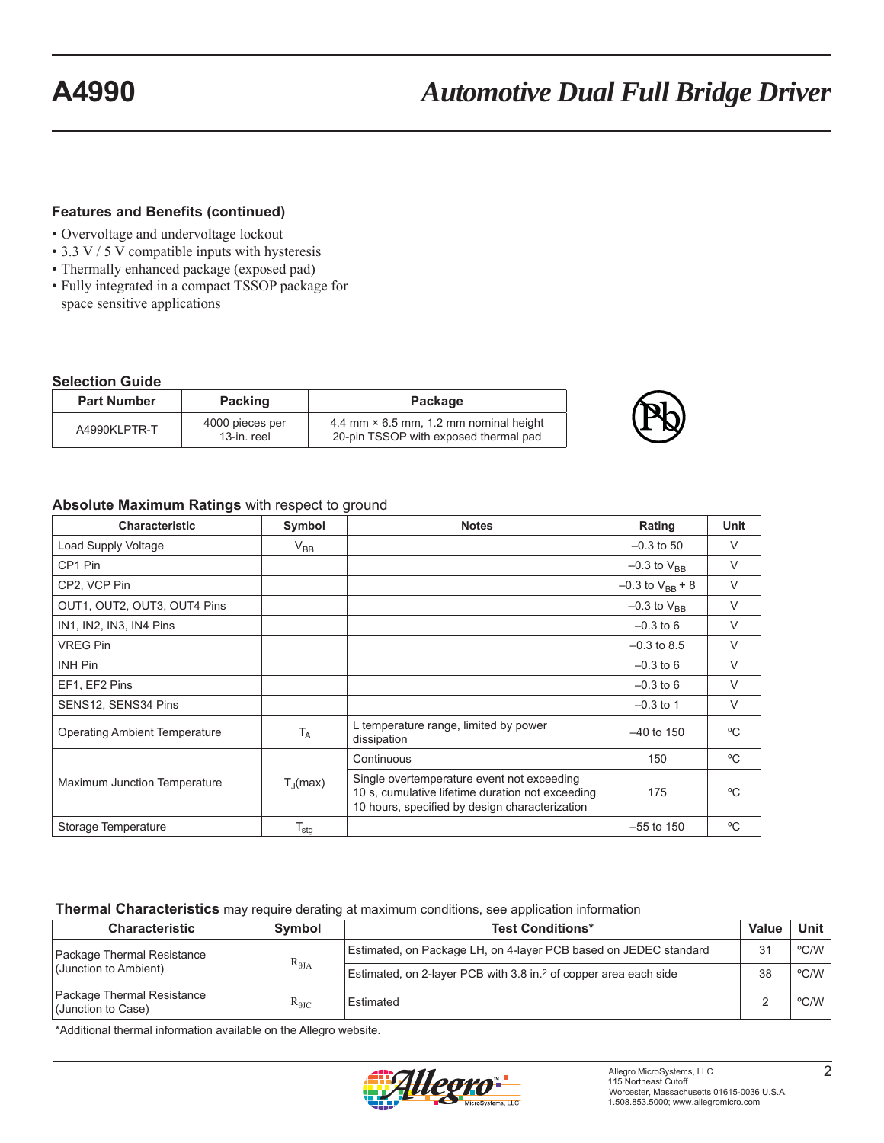#### **Features and Benefits (continued)**

- Overvoltage and undervoltage lockout
- 3.3 V / 5 V compatible inputs with hysteresis
- Thermally enhanced package (exposed pad)
- Fully integrated in a compact TSSOP package for space sensitive applications

#### **Selection Guide**

| <b>Part Number</b> | <b>Packing</b>                 | Package                                                                                |  |  |
|--------------------|--------------------------------|----------------------------------------------------------------------------------------|--|--|
| A4990KLPTR-T       | 4000 pieces per<br>13-in. reel | 4.4 mm $\times$ 6.5 mm, 1.2 mm nominal height<br>20-pin TSSOP with exposed thermal pad |  |  |

#### **Absolute Maximum Ratings** with respect to ground

| <b>Characteristic</b>                | Symbol            | <b>Notes</b>                                                                                                                                     | Rating                 | Unit       |
|--------------------------------------|-------------------|--------------------------------------------------------------------------------------------------------------------------------------------------|------------------------|------------|
| Load Supply Voltage                  | $V_{BB}$          |                                                                                                                                                  | $-0.3$ to 50           | $\vee$     |
| CP1 Pin                              |                   |                                                                                                                                                  | $-0.3$ to $V_{BR}$     | $\vee$     |
| CP2, VCP Pin                         |                   |                                                                                                                                                  | $-0.3$ to $V_{BB}$ + 8 | $\vee$     |
| OUT1, OUT2, OUT3, OUT4 Pins          |                   |                                                                                                                                                  | $-0.3$ to $V_{BR}$     | $\vee$     |
| IN1, IN2, IN3, IN4 Pins              |                   |                                                                                                                                                  | $-0.3$ to 6            | $\vee$     |
| <b>VREG Pin</b>                      |                   |                                                                                                                                                  | $-0.3$ to 8.5          | $\vee$     |
| <b>INH Pin</b>                       |                   |                                                                                                                                                  | $-0.3$ to 6            | $\vee$     |
| EF1, EF2 Pins                        |                   |                                                                                                                                                  | $-0.3$ to 6            | $\vee$     |
| SENS12, SENS34 Pins                  |                   |                                                                                                                                                  | $-0.3$ to 1            | $\vee$     |
| <b>Operating Ambient Temperature</b> | $T_A$             | L temperature range, limited by power<br>dissipation                                                                                             | $-40$ to 150           | °C         |
|                                      |                   | Continuous                                                                                                                                       | 150                    | °C         |
| Maximum Junction Temperature         | $T_{\rm d}$ (max) | Single overtemperature event not exceeding<br>10 s, cumulative lifetime duration not exceeding<br>10 hours, specified by design characterization | 175                    | $^{\circ}$ |
| Storage Temperature                  | $T_{\text{stg}}$  |                                                                                                                                                  | $-55$ to 150           | °C         |

#### **Thermal Characteristics** may require derating at maximum conditions, see application information

| <b>Characteristic</b>                            | <b>Symbol</b>   | <b>Test Conditions*</b>                                                      | Value | Unit l |
|--------------------------------------------------|-----------------|------------------------------------------------------------------------------|-------|--------|
| Package Thermal Resistance                       | $R_{\theta JA}$ | Estimated, on Package LH, on 4-layer PCB based on JEDEC standard             |       | °C/W   |
| (Junction to Ambient)                            |                 | Estimated, on 2-layer PCB with 3.8 in. <sup>2</sup> of copper area each side | 38    | °C/W   |
| Package Thermal Resistance<br>(Junction to Case) | $R_{\theta JC}$ | Estimated                                                                    |       | °C/W   |

\*Additional thermal information available on the Allegro website.

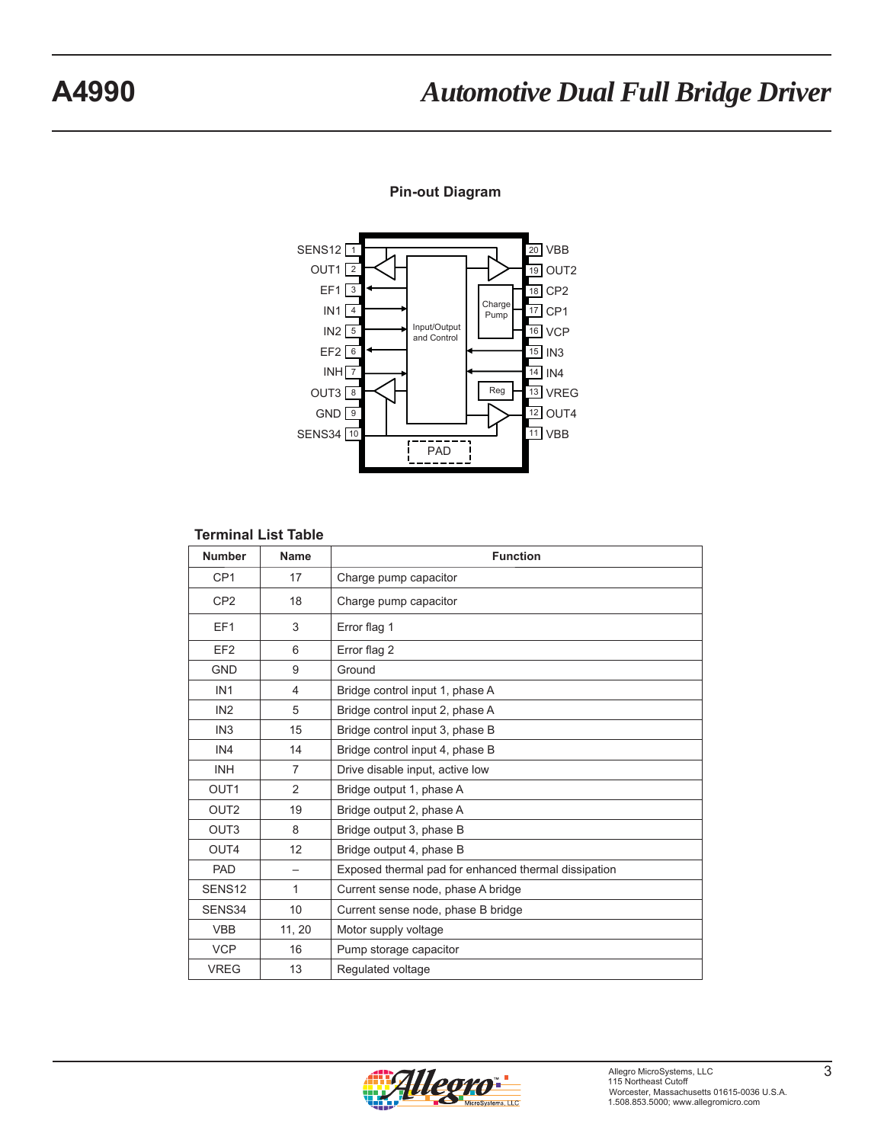#### **Pin-out Diagram**



#### **Terminal List Table**

| <b>Number</b>      | <b>Name</b>    | <b>Function</b>                                      |
|--------------------|----------------|------------------------------------------------------|
| CP <sub>1</sub>    | 17             | Charge pump capacitor                                |
| CP <sub>2</sub>    | 18             | Charge pump capacitor                                |
| EF <sub>1</sub>    | 3              | Error flag 1                                         |
| EF <sub>2</sub>    | 6              | Error flag 2                                         |
| <b>GND</b>         | 9              | Ground                                               |
| IN <sub>1</sub>    | $\overline{4}$ | Bridge control input 1, phase A                      |
| IN <sub>2</sub>    | 5              | Bridge control input 2, phase A                      |
| IN <sub>3</sub>    | 15             | Bridge control input 3, phase B                      |
| IN4                | 14             | Bridge control input 4, phase B                      |
| <b>INH</b>         | $\overline{7}$ | Drive disable input, active low                      |
| OUT <sub>1</sub>   | 2              | Bridge output 1, phase A                             |
| OUT <sub>2</sub>   | 19             | Bridge output 2, phase A                             |
| OUT <sub>3</sub>   | 8              | Bridge output 3, phase B                             |
| OUT4               | 12             | Bridge output 4, phase B                             |
| PAD                |                | Exposed thermal pad for enhanced thermal dissipation |
| SENS <sub>12</sub> | $\mathbf{1}$   | Current sense node, phase A bridge                   |
| SENS34             | 10             | Current sense node, phase B bridge                   |
| <b>VBB</b>         | 11, 20         | Motor supply voltage                                 |
| <b>VCP</b>         | 16             | Pump storage capacitor                               |
| <b>VREG</b>        | 13             | Regulated voltage                                    |

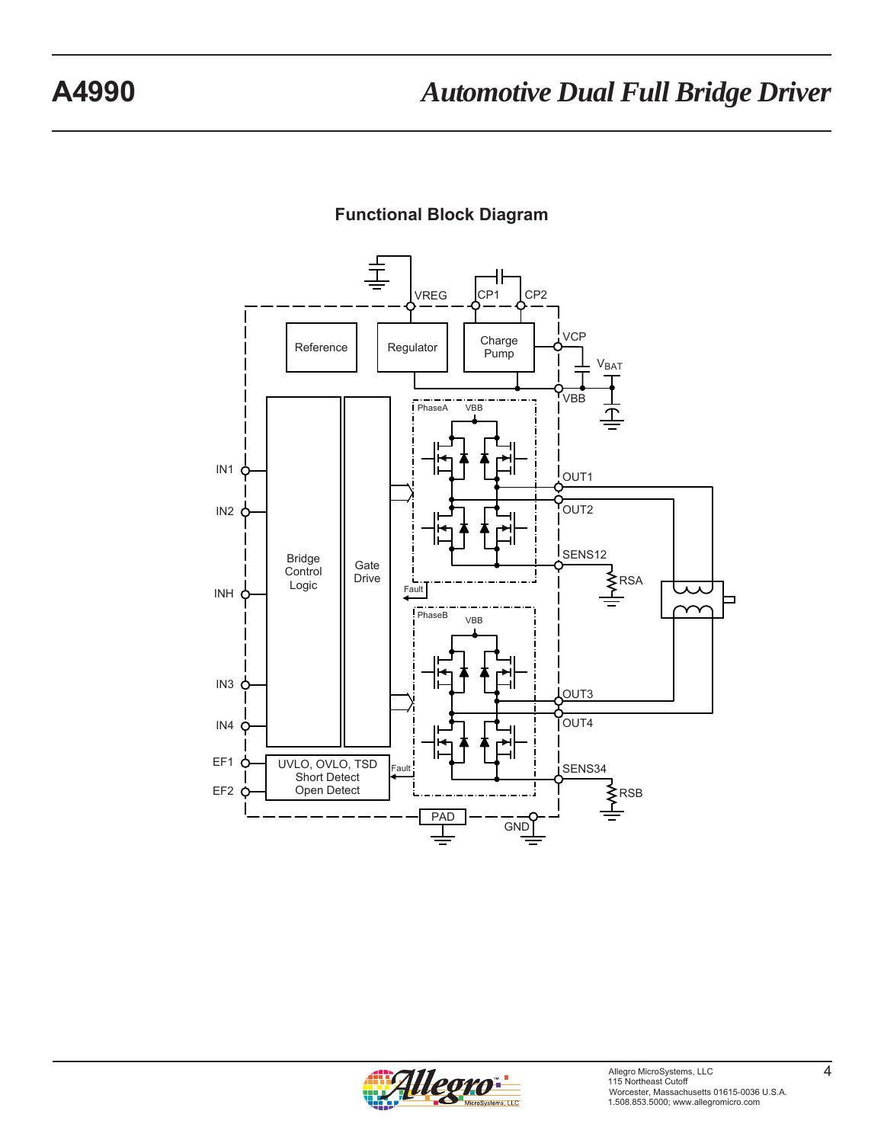

### **Functional Block Diagram**

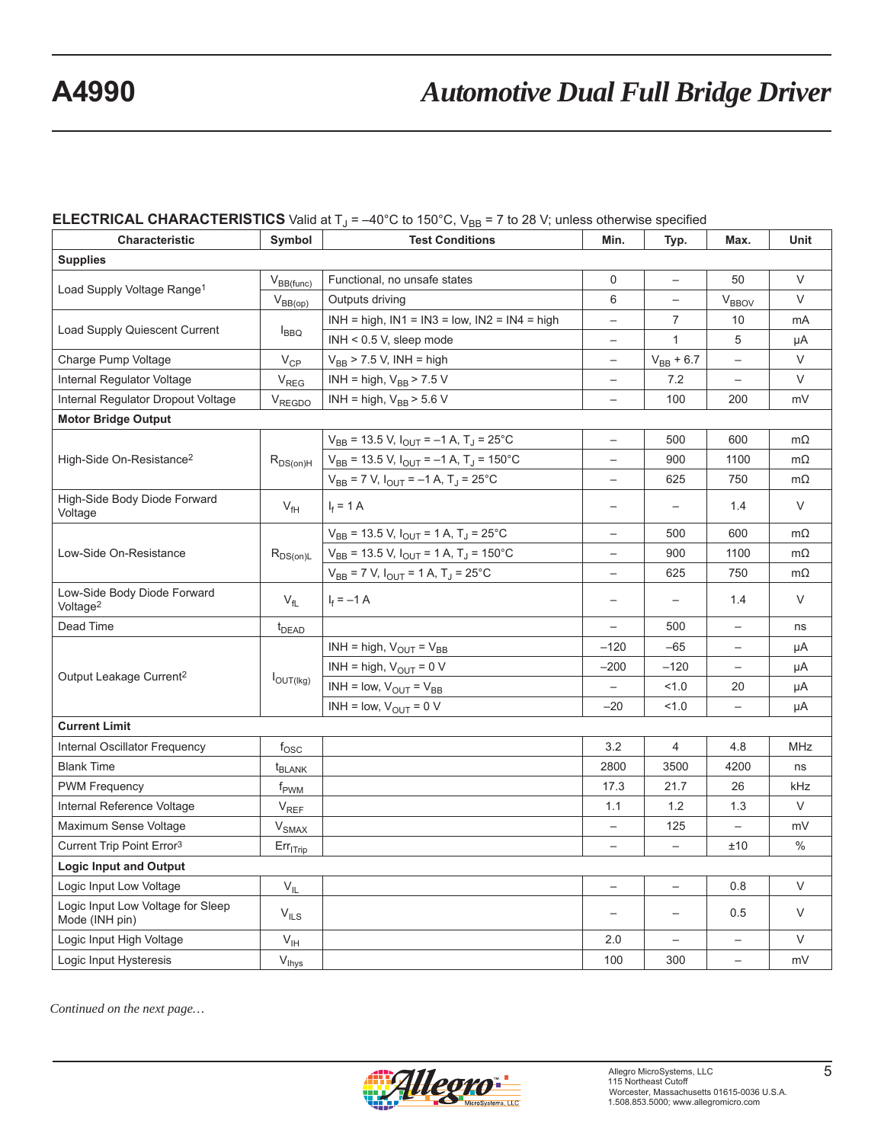#### **ELECTRICAL CHARACTERISTICS** Valid at  $T_J = -40^\circ$ C to 150 $^\circ$ C, V<sub>BB</sub> = 7 to 28 V; unless otherwise specified

| Characteristic                                      | Symbol                | ◡<br><b>Test Conditions</b>                                  | Min.                     | Typ.                     | Max.                     | Unit       |  |  |  |
|-----------------------------------------------------|-----------------------|--------------------------------------------------------------|--------------------------|--------------------------|--------------------------|------------|--|--|--|
| <b>Supplies</b>                                     |                       |                                                              |                          |                          |                          |            |  |  |  |
|                                                     | $V_{BB(func)}$        | Functional, no unsafe states                                 | $\Omega$                 | $\overline{\phantom{0}}$ | 50                       | $\vee$     |  |  |  |
| Load Supply Voltage Range <sup>1</sup>              | $V_{BB(op)}$          | Outputs driving                                              | 6                        | $\overline{\phantom{0}}$ | <b>V<sub>BBOV</sub></b>  | $\vee$     |  |  |  |
|                                                     |                       | $INH = high$ , $IN1 = IN3 = low$ , $IN2 = IN4 = high$        |                          | 7                        | 10                       | mA         |  |  |  |
| Load Supply Quiescent Current                       | <b>IBBQ</b>           | INH < 0.5 V, sleep mode                                      | $\overline{\phantom{0}}$ | $\mathbf{1}$             | 5                        | μA         |  |  |  |
| Charge Pump Voltage                                 | $V_{\text{CP}}$       | $V_{BB}$ > 7.5 V, INH = high                                 | $\overline{\phantom{0}}$ | $V_{BB} + 6.7$           |                          | $\vee$     |  |  |  |
| Internal Regulator Voltage                          | $V_{REG}$             | INH = high, $V_{BB}$ > 7.5 V                                 | $\overline{\phantom{0}}$ | 7.2                      | $\qquad \qquad -$        | $\vee$     |  |  |  |
| Internal Regulator Dropout Voltage                  | $V_{REGDO}$           | INH = high, $V_{BB}$ > 5.6 V                                 | $\qquad \qquad -$        | 100                      | 200                      | mV         |  |  |  |
| <b>Motor Bridge Output</b>                          |                       |                                                              |                          |                          |                          |            |  |  |  |
|                                                     |                       | $V_{BB}$ = 13.5 V, $I_{OUT}$ = -1 A, T <sub>J</sub> = 25°C   | $\qquad \qquad -$        | 500                      | 600                      | $m\Omega$  |  |  |  |
| High-Side On-Resistance <sup>2</sup>                | $R_{DS(on)H}$         | $V_{BB}$ = 13.5 V, $I_{OUT}$ = -1 A, T <sub>J</sub> = 150 °C | $\qquad \qquad -$        | 900                      | 1100                     | $m\Omega$  |  |  |  |
|                                                     |                       | $V_{BB}$ = 7 V, $I_{OUT}$ = -1 A, T <sub>J</sub> = 25°C      | $\overline{\phantom{0}}$ | 625                      | 750                      | $m\Omega$  |  |  |  |
| High-Side Body Diode Forward<br>Voltage             | $V_{\text{fH}}$       | $I_f = 1 A$                                                  |                          |                          | 1.4                      | $\vee$     |  |  |  |
|                                                     |                       | $V_{BB}$ = 13.5 V, $I_{OUT}$ = 1 A, T <sub>J</sub> = 25°C    |                          | 500                      | 600                      | $m\Omega$  |  |  |  |
| Low-Side On-Resistance                              | $R_{DS(on)L}$         | $V_{BB}$ = 13.5 V, $I_{OUT}$ = 1 A, T <sub>J</sub> = 150°C   |                          | 900                      | 1100                     | $m\Omega$  |  |  |  |
|                                                     |                       | $V_{BB}$ = 7 V, $I_{OUT}$ = 1 A, T <sub>J</sub> = 25°C       |                          | 625                      | 750                      | $m\Omega$  |  |  |  |
| Low-Side Body Diode Forward<br>Voltage <sup>2</sup> | $V_{fL}$              | $I_f = -1$ A                                                 |                          | $\qquad \qquad -$        | 1.4                      | $\vee$     |  |  |  |
| Dead Time                                           | $t_{DEAD}$            |                                                              | $\qquad \qquad -$        | 500                      | $\overline{\phantom{0}}$ | ns         |  |  |  |
|                                                     |                       | INH = high, $V_{OUT} = V_{BB}$                               | $-120$                   | $-65$                    | $\qquad \qquad -$        | μA         |  |  |  |
|                                                     |                       | INH = high, $V_{\text{OUT}}$ = 0 V                           | $-200$                   | $-120$                   | $\qquad \qquad -$        | μA         |  |  |  |
| Output Leakage Current <sup>2</sup>                 | $I_{\text{OUT(Ikg)}}$ | INH = low, $V_{OUT} = V_{BB}$                                | $\overline{\phantom{0}}$ | 1.0                      | 20                       | μA         |  |  |  |
|                                                     |                       | INH = low, $V_{OUT}$ = 0 V                                   | $-20$                    | 1.0                      | $\qquad \qquad -$        | μA         |  |  |  |
| <b>Current Limit</b>                                |                       |                                                              |                          |                          |                          |            |  |  |  |
| Internal Oscillator Frequency                       | $f_{\rm OSC}$         |                                                              | 3.2                      | 4                        | 4.8                      | <b>MHz</b> |  |  |  |
| <b>Blank Time</b>                                   | t <sub>BLANK</sub>    |                                                              | 2800                     | 3500                     | 4200                     | ns         |  |  |  |
| <b>PWM Frequency</b>                                | f <sub>PWM</sub>      |                                                              | 17.3                     | 21.7                     | 26                       | kHz        |  |  |  |
| Internal Reference Voltage                          | $V_{REF}$             |                                                              | 1.1                      | 1.2                      | 1.3                      | $\vee$     |  |  |  |
| Maximum Sense Voltage                               | $V_{SMAX}$            |                                                              | $\overline{\phantom{0}}$ | 125                      | $\qquad \qquad -$        | mV         |  |  |  |
| Current Trip Point Error <sup>3</sup>               | $Err_{ITrip}$         |                                                              | $\qquad \qquad -$        | $\overline{\phantom{0}}$ | ±10                      | $\%$       |  |  |  |
| <b>Logic Input and Output</b>                       |                       |                                                              |                          |                          |                          |            |  |  |  |
| Logic Input Low Voltage                             | $V_{IL}$              |                                                              | $\qquad \qquad -$        | $\overline{\phantom{0}}$ | 0.8                      | $\vee$     |  |  |  |
| Logic Input Low Voltage for Sleep<br>Mode (INH pin) | $V_{ILS}$             |                                                              |                          |                          | 0.5                      | $\vee$     |  |  |  |
| Logic Input High Voltage                            | $V_{\text{IH}}$       |                                                              | 2.0                      |                          |                          | $\vee$     |  |  |  |
| Logic Input Hysteresis                              | $V_{\text{Ihys}}$     |                                                              | 100                      | 300                      |                          | mV         |  |  |  |

*Continued on the next page…*

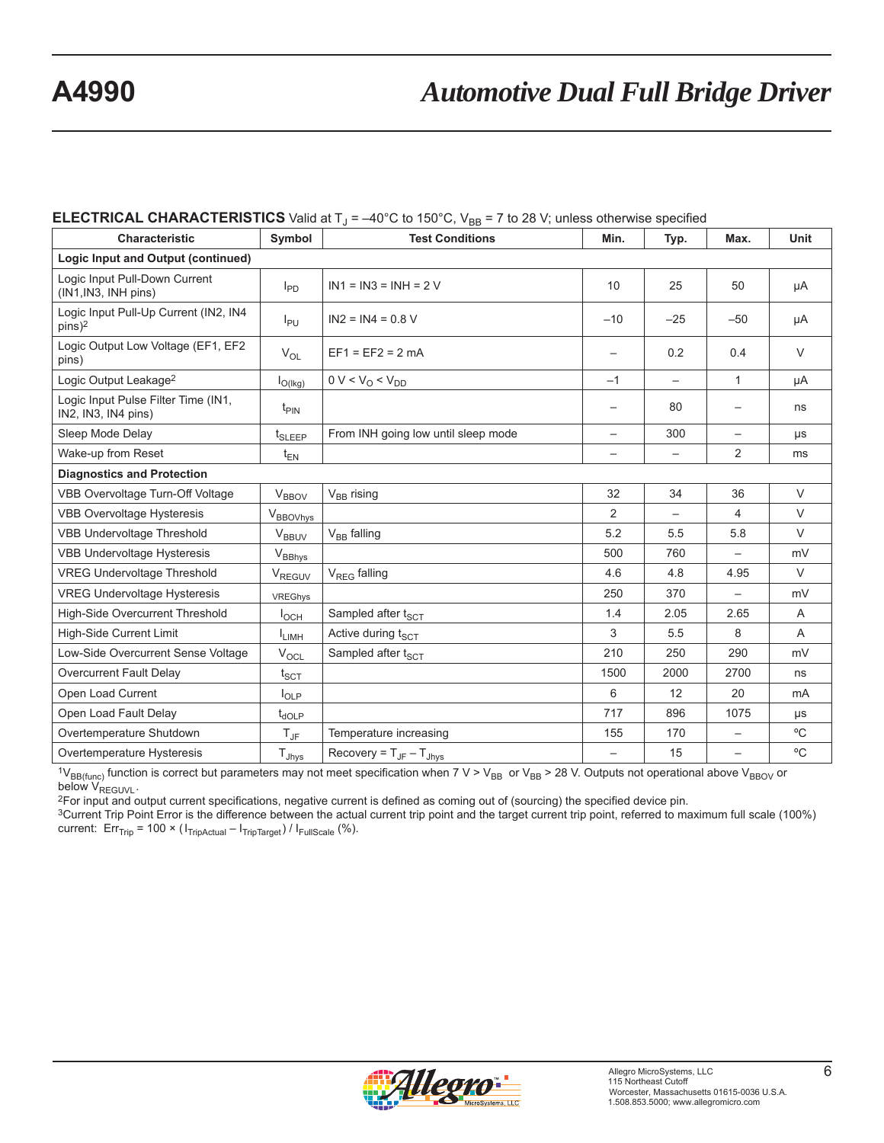#### **ELECTRICAL CHARACTERISTICS** Valid at  $T_J = -40^{\circ}$ C to 150 $^{\circ}$ C, V<sub>BB</sub> = 7 to 28 V; unless otherwise specified

| <b>Characteristic</b>                                       | Symbol                          | <b>Test Conditions</b>                       | Min.                     | Typ.                     | Max.                     | Unit        |  |  |
|-------------------------------------------------------------|---------------------------------|----------------------------------------------|--------------------------|--------------------------|--------------------------|-------------|--|--|
| Logic Input and Output (continued)                          |                                 |                                              |                          |                          |                          |             |  |  |
| Logic Input Pull-Down Current<br>(IN1, IN3, INH pins)       | $I_{PD}$                        | $IN1 = IN3 = INH = 2 V$                      |                          | 25                       | 50                       | μA          |  |  |
| Logic Input Pull-Up Current (IN2, IN4<br>pins) <sup>2</sup> | $I_{PU}$                        | $IN2 = IN4 = 0.8 V$                          | $-10$                    | $-25$                    | $-50$                    | μA          |  |  |
| Logic Output Low Voltage (EF1, EF2<br>pins)                 | $V_{OL}$                        | $EF1 = EF2 = 2 mA$                           |                          | 0.2                      | 0.4                      | $\vee$      |  |  |
| Logic Output Leakage <sup>2</sup>                           | $I_{O(lkg)}$                    | $0 V < V_0 < V_{DD}$                         | $-1$                     | $\overline{\phantom{m}}$ | $\mathbf{1}$             | μA          |  |  |
| Logic Input Pulse Filter Time (IN1,<br>IN2, IN3, IN4 pins)  | $t_{\text{PIN}}$                |                                              |                          | 80                       |                          | ns          |  |  |
| Sleep Mode Delay                                            | $t_{\scriptstyle \text{SLEEP}}$ | From INH going low until sleep mode          | $\overline{\phantom{0}}$ | 300                      | $\qquad \qquad -$        | μs          |  |  |
| Wake-up from Reset                                          | $t_{EN}$                        |                                              |                          |                          | $\overline{2}$           | ms          |  |  |
| <b>Diagnostics and Protection</b>                           |                                 |                                              |                          |                          |                          |             |  |  |
| VBB Overvoltage Turn-Off Voltage                            | <b>V<sub>BBOV</sub></b>         | V <sub>BB</sub> rising                       | 32                       | 34                       | 36                       | $\vee$      |  |  |
| <b>VBB Overvoltage Hysteresis</b>                           | V <sub>BBOVhys</sub>            |                                              | $\overline{2}$           |                          | 4                        | $\vee$      |  |  |
| <b>VBB Undervoltage Threshold</b>                           | $V_{BBUV}$                      | $V_{BB}$ falling                             | 5.2                      | 5.5                      | 5.8                      | $\vee$      |  |  |
| <b>VBB Undervoltage Hysteresis</b>                          | $V_{BBhys}$                     |                                              | 500                      | 760                      | $\overline{\phantom{0}}$ | mV          |  |  |
| <b>VREG Undervoltage Threshold</b>                          | V <sub>REGUV</sub>              | $V_{REG}$ falling                            | 4.6                      | 4.8                      | 4.95                     | $\vee$      |  |  |
| <b>VREG Undervoltage Hysteresis</b>                         | VREGhys                         |                                              | 250                      | 370                      |                          | mV          |  |  |
| High-Side Overcurrent Threshold                             | $I_{OCH}$                       | Sampled after t <sub>SCT</sub>               | 1.4                      | 2.05                     | 2.65                     | A           |  |  |
| <b>High-Side Current Limit</b>                              | <b>ILIMH</b>                    | Active during tscT                           | 3                        | 5.5                      | 8                        | A           |  |  |
| Low-Side Overcurrent Sense Voltage                          | $V_{OCL}$                       | Sampled after t <sub>SCT</sub>               | 210                      | 250                      | 290                      | mV          |  |  |
| Overcurrent Fault Delay                                     | $t_{\scriptstyle\rm SCT}$       |                                              | 1500                     | 2000                     | 2700                     | ns          |  |  |
| Open Load Current                                           | $I_{\text{OLP}}$                |                                              | 6                        | 12                       | 20                       | mA          |  |  |
| Open Load Fault Delay                                       | $t_{\text{dOLP}}$               |                                              | 717                      | 896                      | 1075                     | μs          |  |  |
| Overtemperature Shutdown                                    | $T_{\text{JF}}$                 | Temperature increasing                       | 155                      | 170                      | $\overline{\phantom{0}}$ | $\rm ^{o}C$ |  |  |
| Overtemperature Hysteresis                                  | $T_{Jhys}$                      | Recovery = $T_{\text{JF}} - T_{\text{Jhvs}}$ | $\overline{\phantom{a}}$ | 15                       | $\qquad \qquad -$        | $\rm ^{o}C$ |  |  |

<sup>1</sup>V<sub>BB(func)</sub> function is correct but parameters may not meet specification when 7 V > V<sub>BB</sub> or V<sub>BB</sub> > 28 V. Outputs not operational above V<sub>BBOV</sub> or below V<sub>REGUVL</sub>. below V<sub>REGUVL</sub>.<br><sup>2</sup>For input and output current specifications, negative current is defined as coming out of (sourcing) the specified device pin.

3Current Trip Point Error is the difference between the actual current trip point and the target current trip point, referred to maximum full scale (100%) current:  $Err_{Tip} = 100 \times (I_{TripActual} - I_{TripTarget}) / I_{FullScale}$  (%).

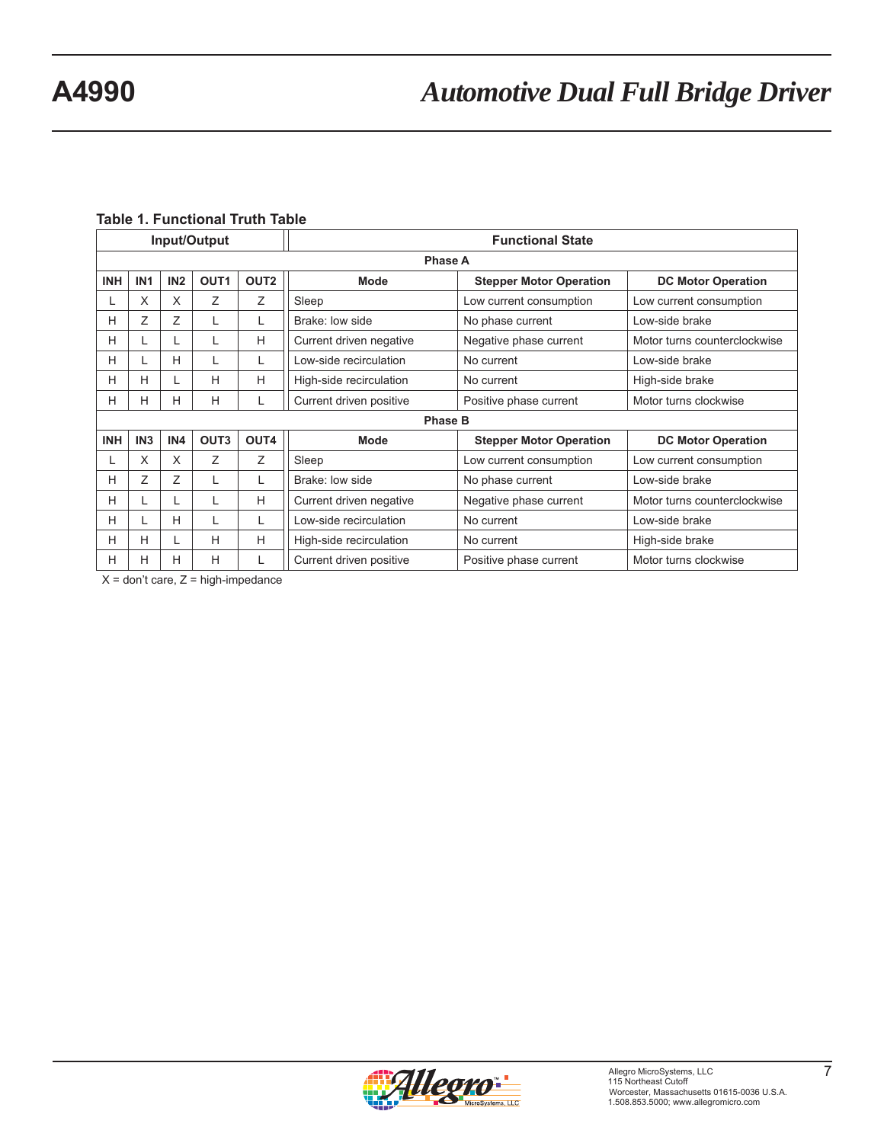#### **Table 1. Functional Truth Table**

| Input/Output                                                     |                 |                 |                  |                  | <b>Functional State</b> |                                |                              |  |  |  |
|------------------------------------------------------------------|-----------------|-----------------|------------------|------------------|-------------------------|--------------------------------|------------------------------|--|--|--|
|                                                                  | <b>Phase A</b>  |                 |                  |                  |                         |                                |                              |  |  |  |
| <b>INH</b>                                                       | IN <sub>1</sub> | IN <sub>2</sub> | OUT <sub>1</sub> | OUT <sub>2</sub> | <b>Mode</b>             | <b>Stepper Motor Operation</b> | <b>DC Motor Operation</b>    |  |  |  |
|                                                                  | X               | X               | Ζ                | Ζ                | Sleep                   | Low current consumption        | Low current consumption      |  |  |  |
| н                                                                | Ζ               | Z               | L                | L                | Brake: low side         | No phase current               | Low-side brake               |  |  |  |
| Н                                                                |                 | L               |                  | H                | Current driven negative | Negative phase current         | Motor turns counterclockwise |  |  |  |
| Н                                                                |                 | H               | L                | L                | Low-side recirculation  | No current                     | Low-side brake               |  |  |  |
| н                                                                | н               | L               | H                | H                | High-side recirculation | No current                     | High-side brake              |  |  |  |
| н                                                                | н               | Н               | н                | L                | Current driven positive | Positive phase current         | Motor turns clockwise        |  |  |  |
|                                                                  |                 |                 |                  |                  | <b>Phase B</b>          |                                |                              |  |  |  |
| OUT <sub>3</sub><br>OUT4<br><b>INH</b><br>IN <sub>3</sub><br>IN4 |                 |                 |                  |                  | Mode                    | <b>Stepper Motor Operation</b> | <b>DC Motor Operation</b>    |  |  |  |
|                                                                  | X               | X               | Z                | Ζ                | Sleep                   | Low current consumption        | Low current consumption      |  |  |  |
| н                                                                | Ζ               | Z               | L                | L                | Brake: low side         | No phase current               | Low-side brake               |  |  |  |
| Н                                                                |                 | L               |                  | H                | Current driven negative | Negative phase current         | Motor turns counterclockwise |  |  |  |
| н                                                                |                 | H               |                  | L                | Low-side recirculation  | No current                     | Low-side brake               |  |  |  |
| н                                                                | H               | L               | H                | H                | High-side recirculation | No current                     | High-side brake              |  |  |  |
| н                                                                | H               | H               | H                | L                | Current driven positive | Positive phase current         | Motor turns clockwise        |  |  |  |

 $X =$  don't care,  $Z =$  high-impedance

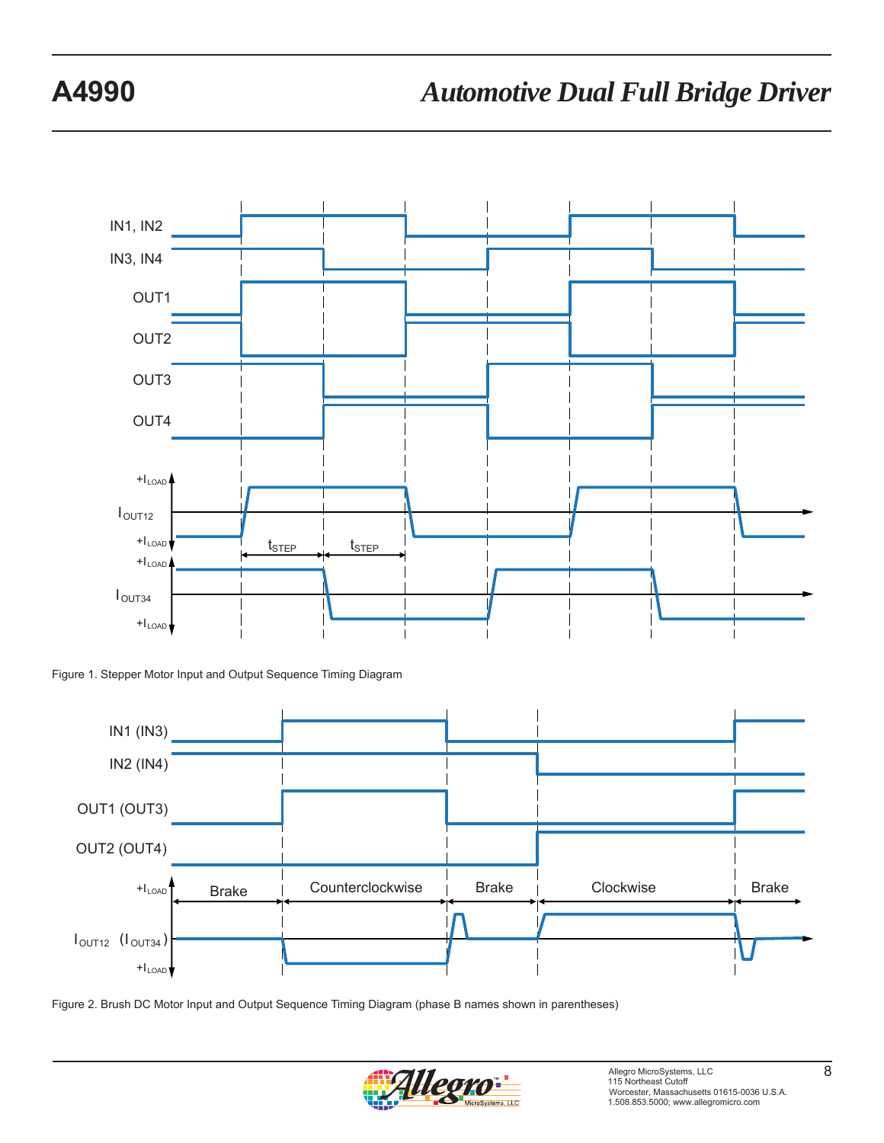

Figure 1. Stepper Motor Input and Output Sequence Timing Diagram



Figure 2. Brush DC Motor Input and Output Sequence Timing Diagram (phase B names shown in parentheses)

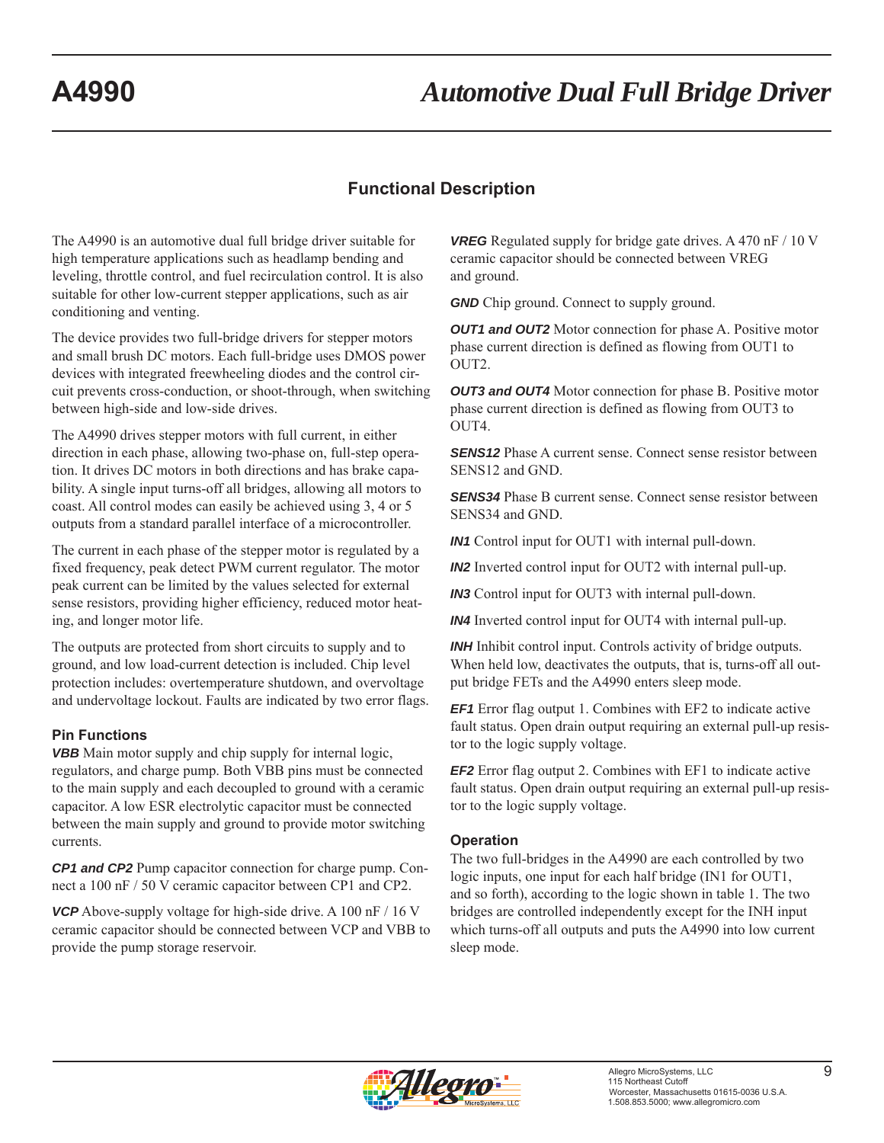# **Functional Description**

The A4990 is an automotive dual full bridge driver suitable for high temperature applications such as headlamp bending and leveling, throttle control, and fuel recirculation control. It is also suitable for other low-current stepper applications, such as air conditioning and venting.

The device provides two full-bridge drivers for stepper motors and small brush DC motors. Each full-bridge uses DMOS power devices with integrated freewheeling diodes and the control circuit prevents cross-conduction, or shoot-through, when switching between high-side and low-side drives.

The A4990 drives stepper motors with full current, in either direction in each phase, allowing two-phase on, full-step operation. It drives DC motors in both directions and has brake capability. A single input turns-off all bridges, allowing all motors to coast. All control modes can easily be achieved using 3, 4 or 5 outputs from a standard parallel interface of a microcontroller.

The current in each phase of the stepper motor is regulated by a fixed frequency, peak detect PWM current regulator. The motor peak current can be limited by the values selected for external sense resistors, providing higher efficiency, reduced motor heating, and longer motor life.

The outputs are protected from short circuits to supply and to ground, and low load-current detection is included. Chip level protection includes: overtemperature shutdown, and overvoltage and undervoltage lockout. Faults are indicated by two error flags.

### **Pin Functions**

*VBB* Main motor supply and chip supply for internal logic, regulators, and charge pump. Both VBB pins must be connected to the main supply and each decoupled to ground with a ceramic capacitor. A low ESR electrolytic capacitor must be connected between the main supply and ground to provide motor switching currents.

*CP1 and CP2* Pump capacitor connection for charge pump. Connect a 100 nF / 50 V ceramic capacitor between CP1 and CP2.

*VCP* Above-supply voltage for high-side drive. A 100 nF / 16 V ceramic capacitor should be connected between VCP and VBB to provide the pump storage reservoir.

*VREG* Regulated supply for bridge gate drives. A 470 nF / 10 V ceramic capacitor should be connected between VREG and ground.

*GND* Chip ground. Connect to supply ground.

*OUT1 and OUT2* Motor connection for phase A. Positive motor phase current direction is defined as flowing from OUT1 to OUT2.

*OUT3 and OUT4* Motor connection for phase B. Positive motor phase current direction is defined as flowing from OUT3 to OUT<sub>4</sub>

**SENS12** Phase A current sense. Connect sense resistor between SENS12 and GND.

*SENS34* Phase B current sense. Connect sense resistor between SENS34 and GND.

*IN1* Control input for OUT1 with internal pull-down.

*IN2* Inverted control input for OUT2 with internal pull-up.

*IN3* Control input for OUT3 with internal pull-down.

*IN4* Inverted control input for OUT4 with internal pull-up.

*INH* Inhibit control input. Controls activity of bridge outputs. When held low, deactivates the outputs, that is, turns-off all output bridge FETs and the A4990 enters sleep mode.

*EF1* Error flag output 1. Combines with EF2 to indicate active fault status. Open drain output requiring an external pull-up resistor to the logic supply voltage.

*EF2* Error flag output 2. Combines with EF1 to indicate active fault status. Open drain output requiring an external pull-up resistor to the logic supply voltage.

#### **Operation**

The two full-bridges in the A4990 are each controlled by two logic inputs, one input for each half bridge (IN1 for OUT1, and so forth), according to the logic shown in table 1. The two bridges are controlled independently except for the INH input which turns-off all outputs and puts the A4990 into low current sleep mode.

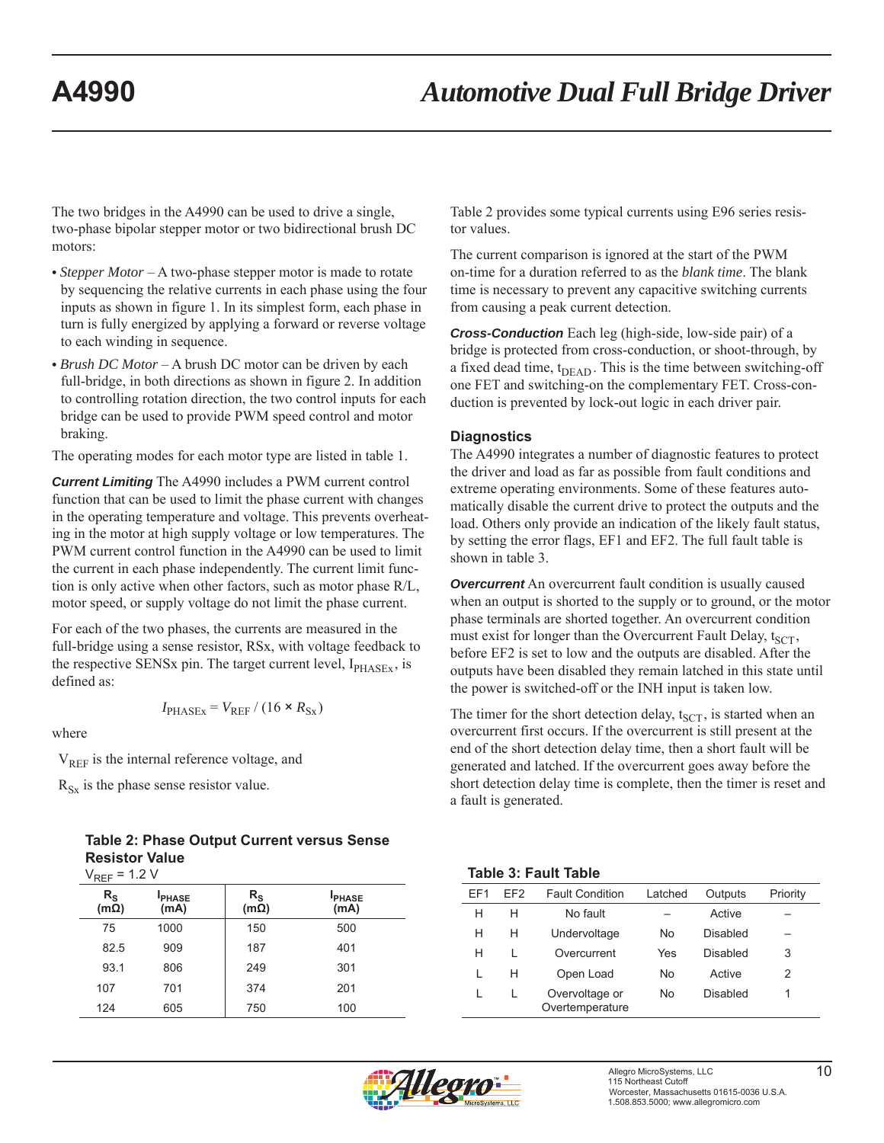The two bridges in the A4990 can be used to drive a single, two-phase bipolar stepper motor or two bidirectional brush DC motors:

- *Stepper Motor* A two-phase stepper motor is made to rotate by sequencing the relative currents in each phase using the four inputs as shown in figure 1. In its simplest form, each phase in turn is fully energized by applying a forward or reverse voltage to each winding in sequence.
- *Brush DC Motor* A brush DC motor can be driven by each full-bridge, in both directions as shown in figure 2. In addition to controlling rotation direction, the two control inputs for each bridge can be used to provide PWM speed control and motor braking.

The operating modes for each motor type are listed in table 1.

*Current Limiting* The A4990 includes a PWM current control function that can be used to limit the phase current with changes in the operating temperature and voltage. This prevents overheating in the motor at high supply voltage or low temperatures. The PWM current control function in the A4990 can be used to limit the current in each phase independently. The current limit function is only active when other factors, such as motor phase R/L, motor speed, or supply voltage do not limit the phase current.

For each of the two phases, the currents are measured in the full-bridge using a sense resistor, RSx, with voltage feedback to the respective SENSx pin. The target current level,  $I_{PHASEx}$ , is defined as:

$$
I_{\text{PHASEx}} = V_{\text{REF}} / (16 \times R_{\text{Sx}})
$$

where

V<sub>REF</sub> is the internal reference voltage, and

 $R_{Sx}$  is the phase sense resistor value.

**Table 2: Phase Output Current versus Sense Resistor Value**  $V_{\text{per}} = 1.2 V$ 

| * KEF                                    | $\cdots$             |                            |                      |
|------------------------------------------|----------------------|----------------------------|----------------------|
| $\mathsf{R}_{\mathsf{S}}$<br>$(m\Omega)$ | <b>PHASE</b><br>(mA) | $R_{\rm S}$<br>$(m\Omega)$ | <b>PHASE</b><br>(mA) |
| 75                                       | 1000                 | 150                        | 500                  |
| 82.5                                     | 909                  | 187                        | 401                  |
| 93.1                                     | 806                  | 249                        | 301                  |
| 107                                      | 701                  | 374                        | 201                  |
| 124                                      | 605                  | 750                        | 100                  |

Table 2 provides some typical currents using E96 series resistor values.

The current comparison is ignored at the start of the PWM on-time for a duration referred to as the *blank time*. The blank time is necessary to prevent any capacitive switching currents from causing a peak current detection.

*Cross-Conduction* Each leg (high-side, low-side pair) of a bridge is protected from cross-conduction, or shoot-through, by a fixed dead time,  $t_{\text{DEAD}}$ . This is the time between switching-off one FET and switching-on the complementary FET. Cross-conduction is prevented by lock-out logic in each driver pair.

#### **Diagnostics**

The A4990 integrates a number of diagnostic features to protect the driver and load as far as possible from fault conditions and extreme operating environments. Some of these features automatically disable the current drive to protect the outputs and the load. Others only provide an indication of the likely fault status, by setting the error flags, EF1 and EF2. The full fault table is shown in table 3.

**Overcurrent** An overcurrent fault condition is usually caused when an output is shorted to the supply or to ground, or the motor phase terminals are shorted together. An overcurrent condition must exist for longer than the Overcurrent Fault Delay,  $t_{SCT}$ , before EF2 is set to low and the outputs are disabled. After the outputs have been disabled they remain latched in this state until the power is switched-off or the INH input is taken low.

The timer for the short detection delay,  $t_{SCT}$ , is started when an overcurrent first occurs. If the overcurrent is still present at the end of the short detection delay time, then a short fault will be generated and latched. If the overcurrent goes away before the short detection delay time is complete, then the timer is reset and a fault is generated.

#### **Table 3: Fault Table**

| FF1 | FF <sub>2</sub> | <b>Fault Condition</b>            | Latched | Outputs  | Priority |
|-----|-----------------|-----------------------------------|---------|----------|----------|
| н   | н               | No fault                          |         | Active   |          |
| н   | н               | Undervoltage                      | No      | Disabled |          |
| н   |                 | Overcurrent                       | Yes     | Disabled | 3        |
|     | н               | Open Load                         | No      | Active   | 2        |
|     |                 | Overvoltage or<br>Overtemperature | No      | Disabled |          |

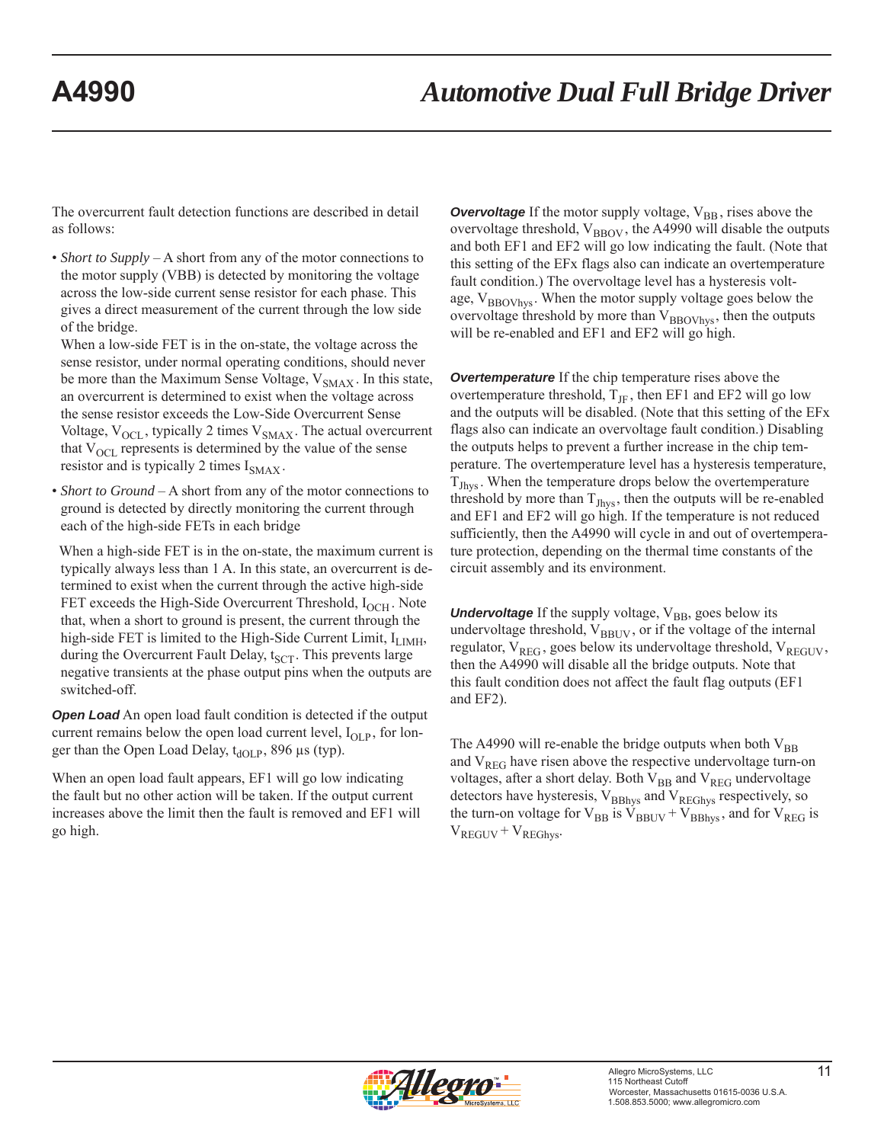The overcurrent fault detection functions are described in detail as follows:

• *Short to Supply* – A short from any of the motor connections to the motor supply (VBB) is detected by monitoring the voltage across the low-side current sense resistor for each phase. This gives a direct measurement of the current through the low side of the bridge.

When a low-side FET is in the on-state, the voltage across the sense resistor, under normal operating conditions, should never be more than the Maximum Sense Voltage,  $V_{SMAX}$ . In this state, an overcurrent is determined to exist when the voltage across the sense resistor exceeds the Low-Side Overcurrent Sense Voltage,  $V_{\text{OCL}}$ , typically 2 times  $V_{\text{SMAX}}$ . The actual overcurrent that  $V_{\text{OCL}}$  represents is determined by the value of the sense resistor and is typically 2 times  $I_{\text{SMAX}}$ .

• *Short to Ground* – A short from any of the motor connections to ground is detected by directly monitoring the current through each of the high-side FETs in each bridge

 When a high-side FET is in the on-state, the maximum current is typically always less than 1 A. In this state, an overcurrent is determined to exist when the current through the active high-side FET exceeds the High-Side Overcurrent Threshold,  $I_{OCH}$ . Note that, when a short to ground is present, the current through the high-side FET is limited to the High-Side Current Limit,  $I_{LIMH}$ , during the Overcurrent Fault Delay,  $t_{SCT}$ . This prevents large negative transients at the phase output pins when the outputs are switched-off.

**Open Load** An open load fault condition is detected if the output current remains below the open load current level,  $I_{OLP}$ , for longer than the Open Load Delay,  $t_{\text{dOLP}}$ , 896 μs (typ).

When an open load fault appears, EF1 will go low indicating the fault but no other action will be taken. If the output current increases above the limit then the fault is removed and EF1 will go high.

**Overvoltage** If the motor supply voltage, V<sub>BB</sub>, rises above the overvoltage threshold,  $V_{\text{BBOV}}$ , the A4990 will disable the outputs and both EF1 and EF2 will go low indicating the fault. (Note that this setting of the EFx flags also can indicate an overtemperature fault condition.) The overvoltage level has a hysteresis voltage,  $V_{\text{BBOVhvs}}$ . When the motor supply voltage goes below the overvoltage threshold by more than  $V_{BBOVhys}$ , then the outputs will be re-enabled and EF1 and EF2 will go high.

*Overtemperature* If the chip temperature rises above the overtemperature threshold,  $T_{\text{JF}}$ , then EF1 and EF2 will go low and the outputs will be disabled. (Note that this setting of the EFx flags also can indicate an overvoltage fault condition.) Disabling the outputs helps to prevent a further increase in the chip temperature. The overtemperature level has a hysteresis temperature,  $T_{Jhys}$ . When the temperature drops below the overtemperature threshold by more than  $T_{Jhys}$ , then the outputs will be re-enabled and EF1 and EF2 will go high. If the temperature is not reduced sufficiently, then the A4990 will cycle in and out of overtemperature protection, depending on the thermal time constants of the circuit assembly and its environment.

**Undervoltage** If the supply voltage, V<sub>BB</sub>, goes below its undervoltage threshold, V<sub>BBUV</sub>, or if the voltage of the internal regulator,  $V_{REG}$ , goes below its undervoltage threshold,  $V_{REGUV}$ , then the A4990 will disable all the bridge outputs. Note that this fault condition does not affect the fault flag outputs (EF1 and EF2).

The A4990 will re-enable the bridge outputs when both  $V_{BB}$ and  $V_{REG}$  have risen above the respective undervoltage turn-on voltages, after a short delay. Both  $V_{BB}$  and  $V_{REG}$  undervoltage detectors have hysteresis,  $V_{BBhys}$  and  $V_{REGhys}$  respectively, so the turn-on voltage for  $V_{BB}$  is  $V_{BBUV} + V_{BBhys}$ , and for  $V_{REG}$  is  $V_{REGUV} + V_{REGhys}$ .

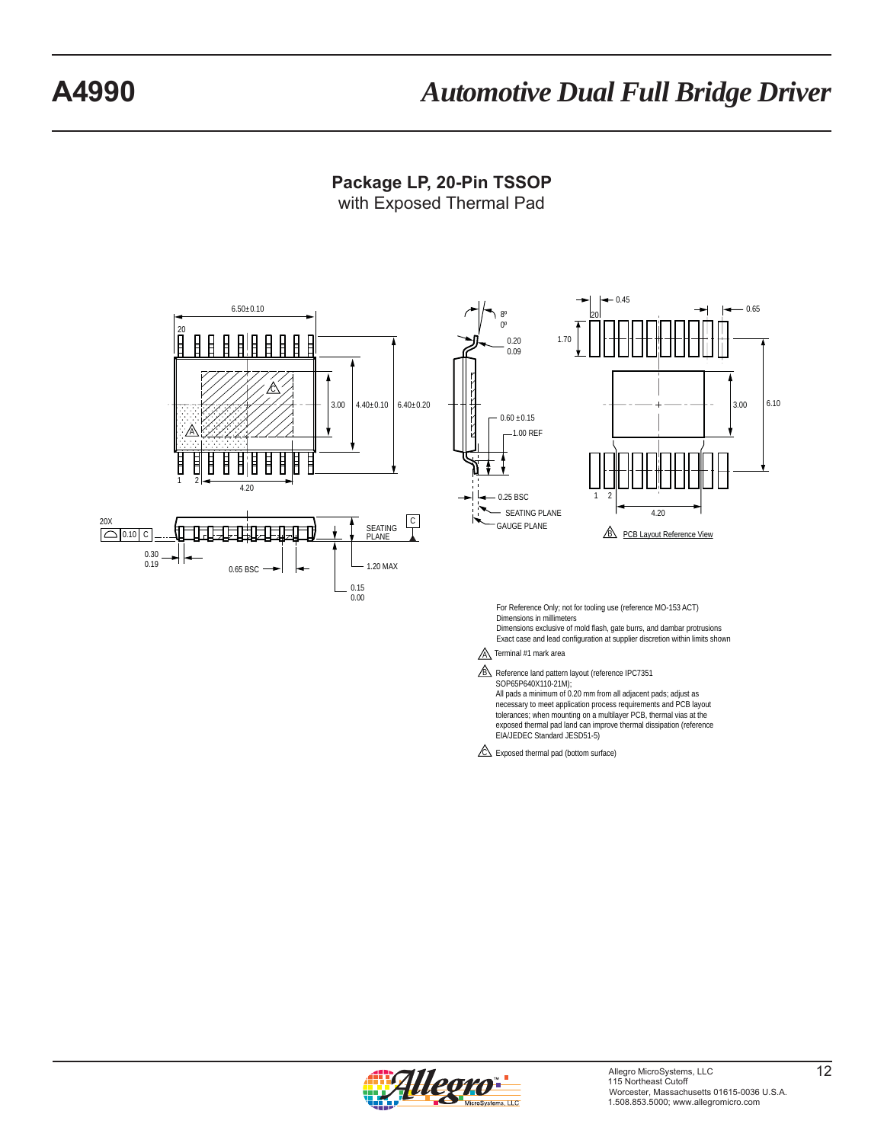### **Package LP, 20-Pin TSSOP** with Exposed Thermal Pad





For Reference Only; not for tooling use (reference MO-153 ACT) Dimensions in millimeters Dimensions exclusive of mold flash, gate burrs, and dambar protrusions

Exact case and lead configuration at supplier discretion within limits shown

 $\underline{A}$  Terminal #1 mark area

B Reference land pattern layout (reference IPC7351<br>SOP65P640X110-21M);

All pads a minimum of 0.20 mm from all adjacent pads; adjust as necessary to meet application process requirements and PCB layout tolerances; when mounting on a multilayer PCB, thermal vias at the exposed thermal pad land can improve thermal dissipation (reference EIA/JEDEC Standard JESD51-5)

 $\triangle$  Exposed thermal pad (bottom surface)